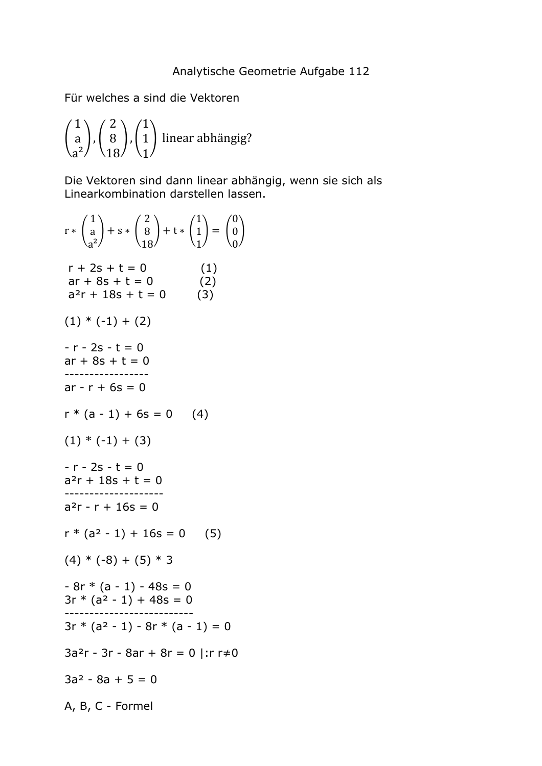Für welches a sind die Vektoren

$$
\binom{1}{a}, \binom{2}{18}, \binom{1}{1}
$$
linear abhängig?

Die Vektoren sind dann linear abhängig, wenn sie sich als Linearkombination darstellen lassen.

 $r * \begin{pmatrix} 1 \\ a \end{pmatrix}$  $a^2$  $+ s * \begin{pmatrix} 2 \\ 8 \end{pmatrix}$ 18  $+ t * \begin{pmatrix} 1 \\ 1 \end{pmatrix}$ 1  $= \begin{pmatrix} 0 \\ 0 \end{pmatrix}$ 0  $\frac{1}{2}$  $r + 2s + t = 0$  (1)  $ar + 8s + t = 0$  (2)  $a^{2}r + 18s + t = 0$  (3)  $(1) * (-1) + (2)$  $-r - 2s - t = 0$  $ar + 8s + t = 0$ ----------------  $ar - r + 6s = 0$  $r * (a - 1) + 6s = 0$  (4)  $(1) * (-1) + (3)$  $-r - 2s - t = 0$  $a^{2}r + 18s + t = 0$ -------------------  $a^2r - r + 16s = 0$  $r * (a<sup>2</sup> - 1) + 16s = 0$  (5)  $(4) * (-8) + (5) * 3$  $-8r * (a - 1) - 48s = 0$  $3r * (a^2 - 1) + 48s = 0$ --------------------------  $3r * (a<sup>2</sup> - 1) - 8r * (a - 1) = 0$  $3a<sup>2</sup>r - 3r - 8ar + 8r = 0$  |:r r $\neq 0$  $3a^2 - 8a + 5 = 0$ A, B, C - Formel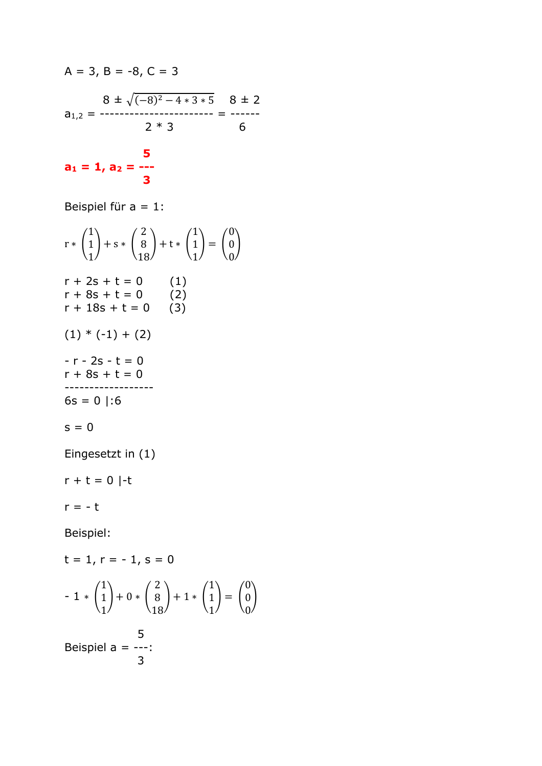$$
A = 3, B = -8, C = 3
$$
\n
$$
8 \pm \sqrt{(-8)^2 - 4 \cdot 3 \cdot 5} \quad 8 \pm 2
$$
\n
$$
a_{1,2} = \frac{2 \cdot 3}{2 \cdot 3} \quad 6
$$
\n
$$
a_1 = 1, a_2 = \frac{5}{-8}
$$

Beispiel für a = 1:

$$
r * {1 \choose 1} + s * {2 \choose 8} + t * {1 \choose 1} = {0 \choose 0}
$$
  
\n
$$
r + 2s + t = 0 \qquad (1)
$$
  
\n
$$
r + 8s + t = 0 \qquad (2)
$$
  
\n
$$
r + 18s + t = 0 \qquad (3)
$$
  
\n
$$
(1) * (-1) + (2)
$$
  
\n
$$
-r - 2s - t = 0
$$
  
\n
$$
r + 8s + t = 0
$$
  
\n
$$
r + 8s + t = 0
$$
  
\n
$$
r + 8s + t = 0
$$
  
\n
$$
r + 8s + t = 0
$$
  
\n
$$
s = 0 | :6
$$
  
\n
$$
s = 0
$$
  
\nEingesetzt in (1)

 $r + t = 0$  |-t

 $r = -t$ 

Beispiel:

t = 1, r = -1, s = 0  
\n- 1 \* 
$$
\begin{pmatrix} 1 \\ 1 \\ 1 \end{pmatrix}
$$
 + 0 \*  $\begin{pmatrix} 2 \\ 8 \\ 18 \end{pmatrix}$  + 1 \*  $\begin{pmatrix} 1 \\ 1 \\ 1 \end{pmatrix}$  =  $\begin{pmatrix} 0 \\ 0 \\ 0 \end{pmatrix}$   
\nBeispiel a = ---:  
\n3